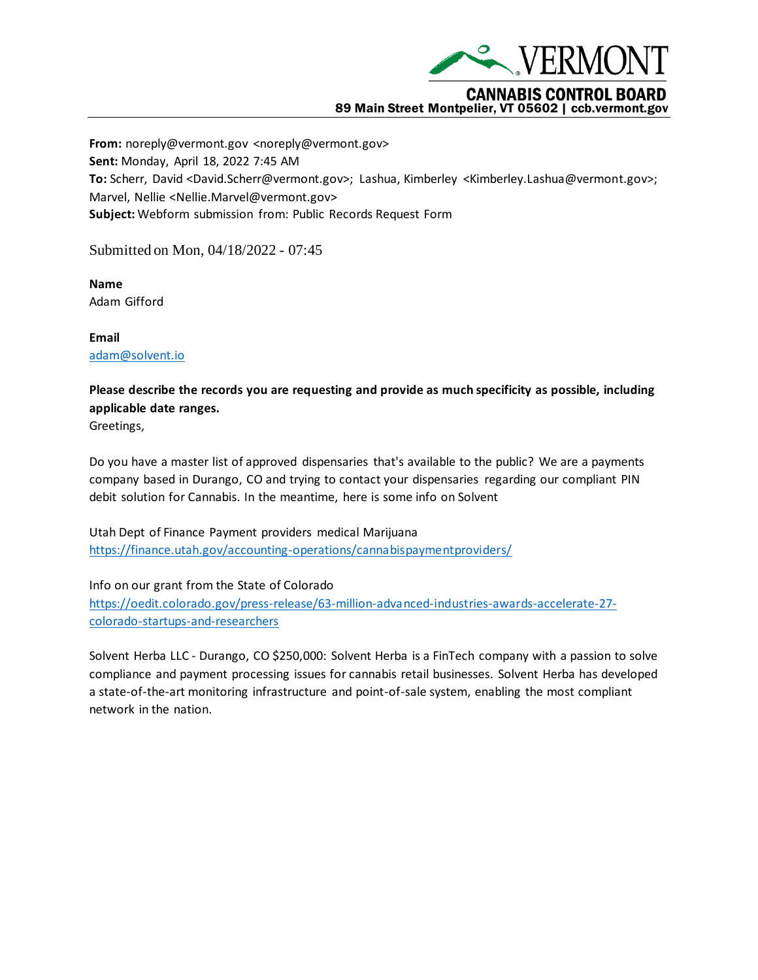

## **CANNABIS CONTROL BOARD** 89 Main Street Montpelier, VT 05602 | ccb.vermont.gov

**From:** noreply@vermont.gov <noreply@vermont.gov> **Sent:** Monday, April 18, 2022 7:45 AM **To:** Scherr, David <David.Scherr@vermont.gov>; Lashua, Kimberley <Kimberley.Lashua@vermont.gov>; Marvel, Nellie <Nellie.Marvel@vermont.gov> **Subject:** Webform submission from: Public Records Request Form

Submitted on Mon, 04/18/2022 - 07:45

**Name** Adam Gifford

**Email** [adam@solvent.io](mailto:adam@solvent.io)

## **Please describe the records you are requesting and provide as much specificity as possible, including applicable date ranges.**

Greetings,

Do you have a master list of approved dispensaries that's available to the public? We are a payments company based in Durango, CO and trying to contact your dispensaries regarding our compliant PIN debit solution for Cannabis. In the meantime, here is some info on Solvent

Utah Dept of Finance Payment providers medical Marijuana <https://finance.utah.gov/accounting-operations/cannabispaymentproviders/>

Info on our grant from the State of Colorado [https://oedit.colorado.gov/press-release/63-million-advanced-industries-awards-accelerate-27](https://oedit.colorado.gov/press-release/63-million-advanced-industries-awards-accelerate-27-colorado-startups-and-researchers) [colorado-startups-and-researchers](https://oedit.colorado.gov/press-release/63-million-advanced-industries-awards-accelerate-27-colorado-startups-and-researchers)

Solvent Herba LLC - Durango, CO \$250,000: Solvent Herba is a FinTech company with a passion to solve compliance and payment processing issues for cannabis retail businesses. Solvent Herba has developed a state-of-the-art monitoring infrastructure and point-of-sale system, enabling the most compliant network in the nation.